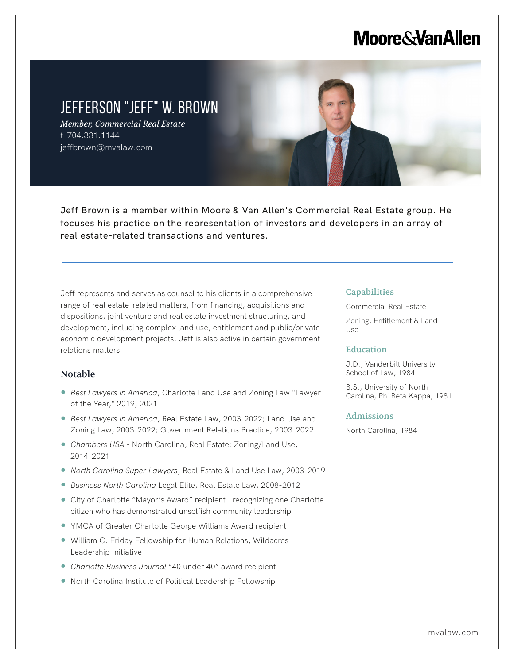# **Moore & Van Allen**



Jeff Brown is a member within Moore & Van Allen's Commercial Real Estate group. He focuses his practice on the representation of investors and developers in an array of real estate-related transactions and ventures.

Jeff represents and serves as counsel to his clients in a comprehensive range of real estate-related matters, from financing, acquisitions and dispositions, joint venture and real estate investment structuring, and development, including complex land use, entitlement and public/private economic development projects. Jeff is also active in certain government relations matters.

# Notable

l,

- *Best Lawyers in America*, Charlotte Land Use and Zoning Law "Lawyer of the Year," 2019, 2021
- *Best Lawyers in America*, Real Estate Law, 2003-2022; Land Use and Zoning Law, 2003-2022; Government Relations Practice, 2003-2022
- *Chambers USA*  North Carolina, Real Estate: Zoning/Land Use, 2014-2021
- *North Carolina Super Lawyers*, Real Estate & Land Use Law, 2003-2019
- *Business North Carolina* Legal Elite, Real Estate Law, 2008-2012
- City of Charlotte "Mayor's Award" recipient recognizing one Charlotte citizen who has demonstrated unselfish community leadership
- YMCA of Greater Charlotte George Williams Award recipient
- William C. Friday Fellowship for Human Relations, Wildacres Leadership Initiative
- *Charlotte Business Journal* "40 under 40" award recipient
- North Carolina Institute of Political Leadership Fellowship

### **Capabilities**

Commercial Real Estate Zoning, Entitlement & Land Use

### **Education**

J.D., Vanderbilt University School of Law, 1984

B.S., University of North Carolina, Phi Beta Kappa, 1981

#### Admissions

North Carolina, 1984